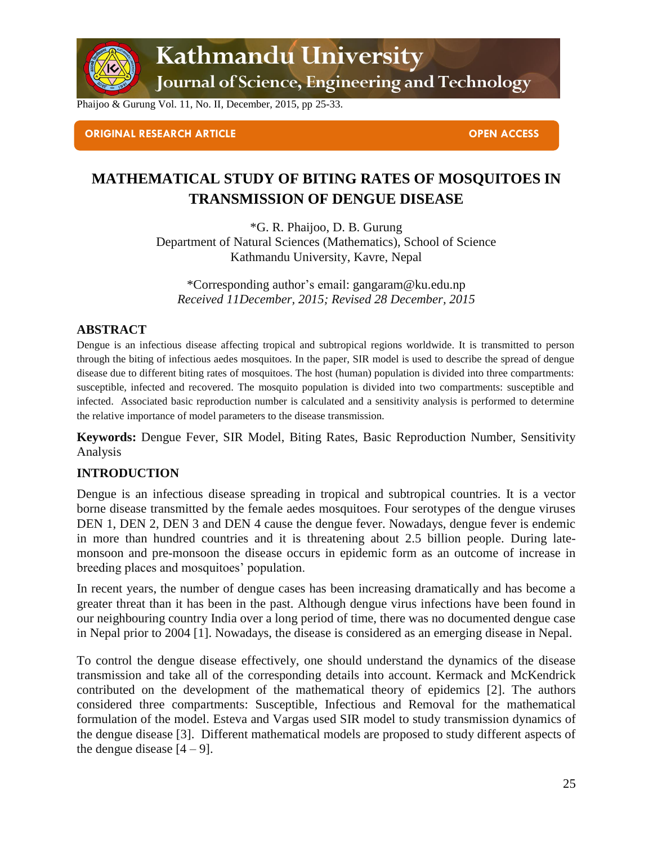

Kathmandu University

Journal of Science, Engineering and Technology

Phaijoo & Gurung Vol. 11, No. II, December, 2015, pp 25-33.

#### **ORIGINAL RESEARCH ARTICLE OPEN ACCESS**

## **MATHEMATICAL STUDY OF BITING RATES OF MOSQUITOES IN TRANSMISSION OF DENGUE DISEASE**

\*G. R. Phaijoo, D. B. Gurung Department of Natural Sciences (Mathematics), School of Science Kathmandu University, Kavre, Nepal

\*Corresponding author's email: [gangaram@ku.edu.np](mailto:gangaram@ku.edu.np) *Received 11December, 2015; Revised 28 December, 2015*

#### **ABSTRACT**

Dengue is an infectious disease affecting tropical and subtropical regions worldwide. It is transmitted to person through the biting of infectious aedes mosquitoes. In the paper, SIR model is used to describe the spread of dengue disease due to different biting rates of mosquitoes. The host (human) population is divided into three compartments: susceptible, infected and recovered. The mosquito population is divided into two compartments: susceptible and infected. Associated basic reproduction number is calculated and a sensitivity analysis is performed to determine the relative importance of model parameters to the disease transmission.

**Keywords:** Dengue Fever, SIR Model, Biting Rates, Basic Reproduction Number, Sensitivity Analysis

## **INTRODUCTION**

Dengue is an infectious disease spreading in tropical and subtropical countries. It is a vector borne disease transmitted by the female aedes mosquitoes. Four serotypes of the dengue viruses DEN 1, DEN 2, DEN 3 and DEN 4 cause the dengue fever. Nowadays, dengue fever is endemic in more than hundred countries and it is threatening about 2.5 billion people. During latemonsoon and pre-monsoon the disease occurs in epidemic form as an outcome of increase in breeding places and mosquitoes' population.

In recent years, the number of dengue cases has been increasing dramatically and has become a greater threat than it has been in the past. Although dengue virus infections have been found in our neighbouring country India over a long period of time, there was no documented dengue case in Nepal prior to 2004 [1]. Nowadays, the disease is considered as an emerging disease in Nepal.

To control the dengue disease effectively, one should understand the dynamics of the disease transmission and take all of the corresponding details into account. Kermack and McKendrick contributed on the development of the mathematical theory of epidemics [2]. The authors considered three compartments: Susceptible, Infectious and Removal for the mathematical formulation of the model. Esteva and Vargas used SIR model to study transmission dynamics of the dengue disease [3]. Different mathematical models are proposed to study different aspects of the dengue disease  $[4 - 9]$ .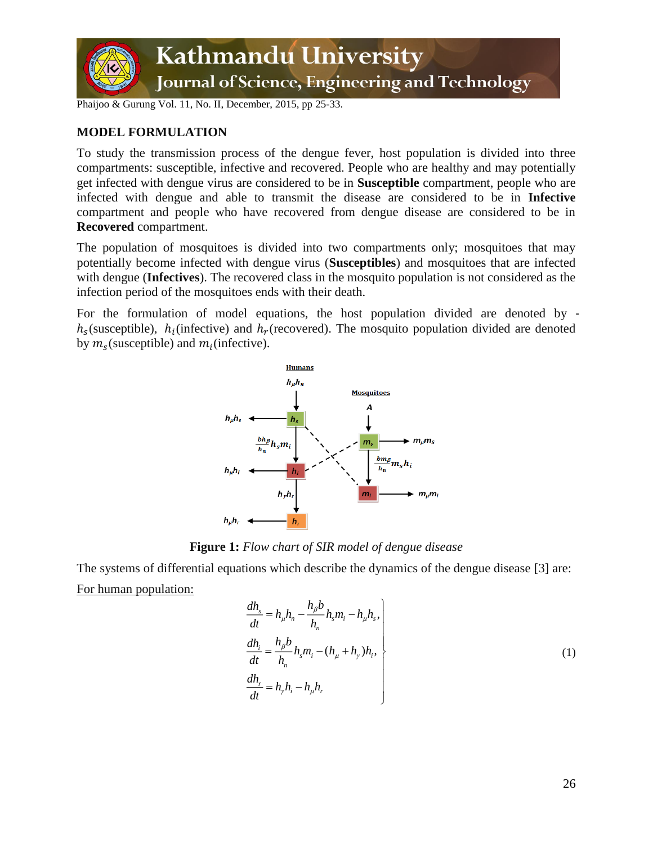

## **MODEL FORMULATION**

To study the transmission process of the dengue fever, host population is divided into three compartments: susceptible, infective and recovered. People who are healthy and may potentially get infected with dengue virus are considered to be in **Susceptible** compartment, people who are infected with dengue and able to transmit the disease are considered to be in **Infective** compartment and people who have recovered from dengue disease are considered to be in **Recovered** compartment.

The population of mosquitoes is divided into two compartments only; mosquitoes that may potentially become infected with dengue virus (**Susceptibles**) and mosquitoes that are infected with dengue (**Infectives**). The recovered class in the mosquito population is not considered as the infection period of the mosquitoes ends with their death.

For the formulation of model equations, the host population divided are denoted by  $h_s$ (susceptible),  $h_i$ (infective) and  $h_r$ (recovered). The mosquito population divided are denoted by  $m_s$  (susceptible) and  $m_i$  (infective).



**Figure 1:** *Flow chart of SIR model of dengue disease*

The systems of differential equations which describe the dynamics of the dengue disease [3] are: For human population:

$$
\begin{aligned}\n\frac{dh_s}{dt} &= h_\mu h_n - \frac{h_\beta b}{h_n} h_s m_i - h_\mu h_s, \\
\frac{dh_i}{dt} &= \frac{h_\beta b}{h_n} h_s m_i - (h_\mu + h_\gamma) h_i, \\
\frac{dh_r}{dt} &= h_\gamma h_i - h_\mu h_r\n\end{aligned} \tag{1}
$$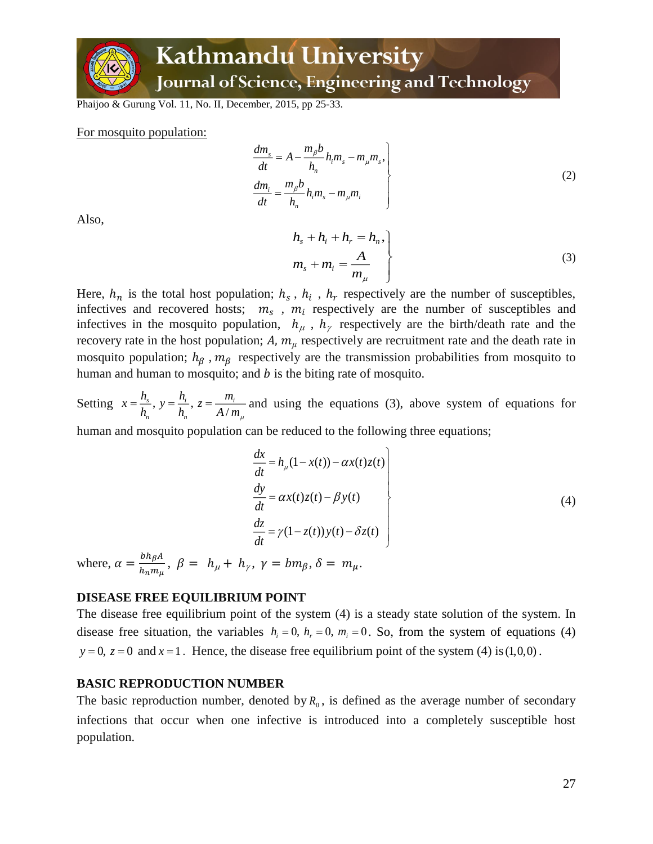

## Kathmandu University Journal of Science, Engineering and Technology

Phaijoo & Gurung Vol. 11, No. II, December, 2015, pp 25-33.

For mosquito population:

$$
\begin{aligned}\n\frac{dm_s}{dt} &= A - \frac{m_\beta b}{h_n} h_i m_s - m_\mu m_s, \\
\frac{dm_i}{dt} &= \frac{m_\beta b}{h_n} h_i m_s - m_\mu m_i\n\end{aligned}
$$
\n(2)

Also,

$$
h_s + h_i + h_r = h_n,
$$
  
\n
$$
m_s + m_i = \frac{A}{m_\mu}
$$
\n(3)

Here,  $h_n$  is the total host population;  $h_s$ ,  $h_i$ ,  $h_r$  respectively are the number of susceptibles, infectives and recovered hosts;  $m_s$ ,  $m_i$  respectively are the number of susceptibles and infectives in the mosquito population,  $h_{\mu}$ ,  $h_{\gamma}$  respectively are the birth/death rate and the recovery rate in the host population;  $A$ ,  $m<sub>u</sub>$  respectively are recruitment rate and the death rate in mosquito population;  $h_{\beta}$ ,  $m_{\beta}$  respectively are the transmission probabilities from mosquito to human and human to mosquito; and  $b$  is the biting rate of mosquito.

Setting  $x = \frac{n_s}{h}$ ,  $y = \frac{n_i}{h}$ ,  $z = \frac{h_i}{A}$  $s \t i \t - \t i \t - \t ii$ *n n h h m*  $x = \frac{n_s}{h_n}$ ,  $y = \frac{n_i}{h_n}$ ,  $z = \frac{m_i}{A/m_\mu}$  and using the equations (3), above system of equations for

human and mosquito population can be reduced to the following three equations;

$$
\begin{aligned}\n\frac{dx}{dt} &= h_{\mu}(1 - x(t)) - \alpha x(t)z(t) \\
\frac{dy}{dt} &= \alpha x(t)z(t) - \beta y(t) \\
\frac{dz}{dt} &= \gamma(1 - z(t))y(t) - \delta z(t)\n\end{aligned}
$$
\n(4)

where,  $\alpha = \frac{bh_{\beta}A}{h_{\gamma}m}$  $\frac{\partial n_{\beta} n}{h_n m_{\mu}}$ ,  $\beta = h_{\mu} + h_{\gamma}$ ,  $\gamma = b m_{\beta}$ ,  $\delta = m_{\mu}$ .

#### **DISEASE FREE EQUILIBRIUM POINT**

The disease free equilibrium point of the system (4) is a steady state solution of the system. In disease free situation, the variables  $h_i = 0$ ,  $h_r = 0$ ,  $m_i = 0$ . So, from the system of equations (4)  $y = 0$ ,  $z = 0$  and  $x = 1$ . Hence, the disease free equilibrium point of the system (4) is (1,0,0).

#### **BASIC REPRODUCTION NUMBER**

The basic reproduction number, denoted by  $R_0$ , is defined as the average number of secondary infections that occur when one infective is introduced into a completely susceptible host population.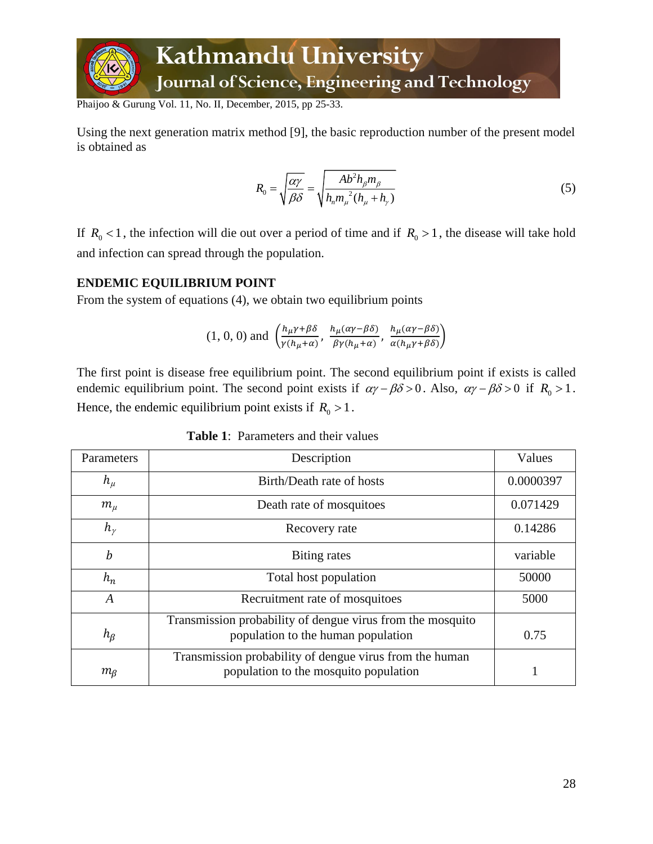

Using the next generation matrix method [9], the basic reproduction number of the present model is obtained as

$$
R_0 = \sqrt{\frac{\alpha \gamma}{\beta \delta}} = \sqrt{\frac{Ab^2 h_\beta m_\beta}{h_n m_\mu^2 (h_\mu + h_\gamma)}}
$$
(5)

If  $R_0 < 1$ , the infection will die out over a period of time and if  $R_0 > 1$ , the disease will take hold and infection can spread through the population.

#### **ENDEMIC EQUILIBRIUM POINT**

From the system of equations (4), we obtain two equilibrium points

$$
(1, 0, 0)
$$
 and  $\left(\frac{h_{\mu}\gamma+\beta\delta}{\gamma(h_{\mu}+\alpha)}, \frac{h_{\mu}(\alpha\gamma-\beta\delta)}{\beta\gamma(h_{\mu}+\alpha)}, \frac{h_{\mu}(\alpha\gamma-\beta\delta)}{\alpha(h_{\mu}\gamma+\beta\delta)}\right)$ 

The first point is disease free equilibrium point. The second equilibrium point if exists is called endemic equilibrium point. The second point exists if  $\alpha\gamma - \beta\delta > 0$ . Also,  $\alpha\gamma - \beta\delta > 0$  if  $R_0 > 1$ . Hence, the endemic equilibrium point exists if  $R_0 > 1$ .

| Parameters       | Description                                                                                      | Values    |
|------------------|--------------------------------------------------------------------------------------------------|-----------|
| $h_\mu$          | Birth/Death rate of hosts                                                                        | 0.0000397 |
| $m_\mu$          | Death rate of mosquitoes                                                                         | 0.071429  |
| $h_{\nu}$        | Recovery rate                                                                                    | 0.14286   |
| $\boldsymbol{b}$ | Biting rates                                                                                     | variable  |
| $h_n$            | Total host population                                                                            | 50000     |
| $\boldsymbol{A}$ | Recruitment rate of mosquitoes                                                                   | 5000      |
| $h_{\beta}$      | Transmission probability of dengue virus from the mosquito<br>population to the human population | 0.75      |
| $m_{\beta}$      | Transmission probability of dengue virus from the human<br>population to the mosquito population |           |

**Table 1**: Parameters and their values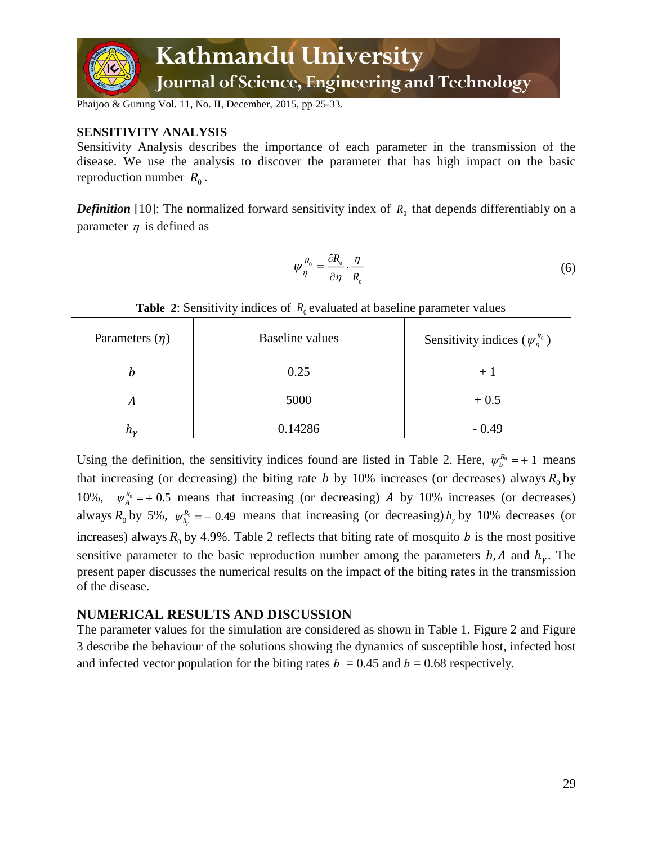

## **SENSITIVITY ANALYSIS**

Sensitivity Analysis describes the importance of each parameter in the transmission of the disease. We use the analysis to discover the parameter that has high impact on the basic reproduction number  $R_0$ .

**Definition** [10]: The normalized forward sensitivity index of  $R_0$  that depends differentiably on a parameter  $\eta$  is defined as

$$
\psi_{\eta}^{R_0} = \frac{\partial R_{0}}{\partial \eta} \cdot \frac{\eta}{R_{0}}
$$
\n(6)

| Parameters $(\eta)$ | Baseline values | Sensitivity indices $(\psi_n^{R_0})$ |
|---------------------|-----------------|--------------------------------------|
|                     | 0.25            | $+$ .                                |
| А                   | 5000            | $+0.5$                               |
| h.,                 | 0.14286         | $-0.49$                              |

**Table 2:** Sensitivity indices of  $R_0$  evaluated at baseline parameter values

Using the definition, the sensitivity indices found are listed in Table 2. Here,  $\psi_b^{R_0} = +1$  means that increasing (or decreasing) the biting rate  $b$  by 10% increases (or decreases) always  $R_0$  by 10%,  $\psi_A^{R_0}$  = + 0.5 means that increasing (or decreasing) *A* by 10% increases (or decreases) always  $R_0$  by 5%,  $\psi_{h_r}^{R_0} = -0.49$  means that increasing (or decreasing)  $h_r$  by 10% decreases (or increases) always  $R_0$  by 4.9%. Table 2 reflects that biting rate of mosquito b is the most positive sensitive parameter to the basic reproduction number among the parameters  $b$ , A and  $h<sub>\gamma</sub>$ . The present paper discusses the numerical results on the impact of the biting rates in the transmission of the disease.

## **NUMERICAL RESULTS AND DISCUSSION**

The parameter values for the simulation are considered as shown in Table 1. Figure 2 and Figure 3 describe the behaviour of the solutions showing the dynamics of susceptible host, infected host and infected vector population for the biting rates  $b = 0.45$  and  $b = 0.68$  respectively.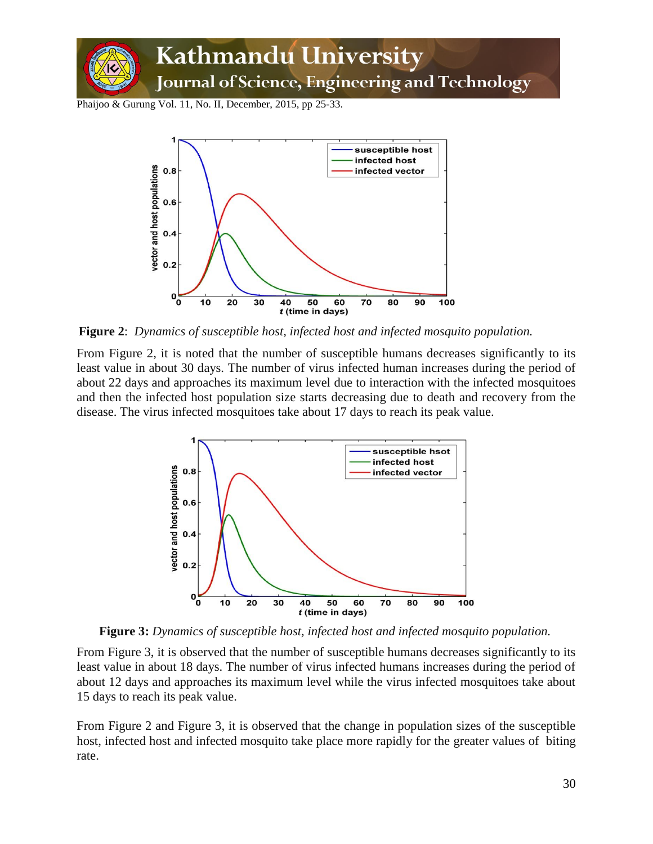



**Figure 2**: *Dynamics of susceptible host, infected host and infected mosquito population.*

From Figure 2, it is noted that the number of susceptible humans decreases significantly to its least value in about 30 days. The number of virus infected human increases during the period of about 22 days and approaches its maximum level due to interaction with the infected mosquitoes and then the infected host population size starts decreasing due to death and recovery from the disease. The virus infected mosquitoes take about 17 days to reach its peak value.



**Figure 3:** *Dynamics of susceptible host, infected host and infected mosquito population.*

From Figure 3, it is observed that the number of susceptible humans decreases significantly to its least value in about 18 days. The number of virus infected humans increases during the period of about 12 days and approaches its maximum level while the virus infected mosquitoes take about 15 days to reach its peak value.

From Figure 2 and Figure 3, it is observed that the change in population sizes of the susceptible host, infected host and infected mosquito take place more rapidly for the greater values of biting rate.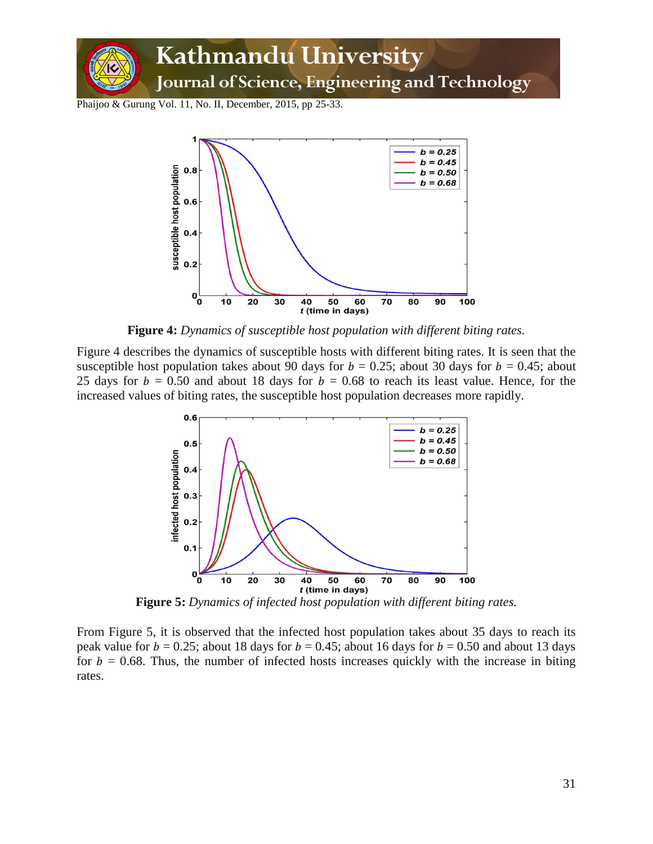



**Figure 4:** *Dynamics of susceptible host population with different biting rates.*

Figure 4 describes the dynamics of susceptible hosts with different biting rates. It is seen that the susceptible host population takes about 90 days for  $b = 0.25$ ; about 30 days for  $b = 0.45$ ; about 25 days for  $b = 0.50$  and about 18 days for  $b = 0.68$  to reach its least value. Hence, for the increased values of biting rates, the susceptible host population decreases more rapidly.



**Figure 5:** *Dynamics of infected host population with different biting rates.*

From Figure 5, it is observed that the infected host population takes about 35 days to reach its peak value for  $b = 0.25$ ; about 18 days for  $b = 0.45$ ; about 16 days for  $b = 0.50$  and about 13 days for  $b = 0.68$ . Thus, the number of infected hosts increases quickly with the increase in biting rates.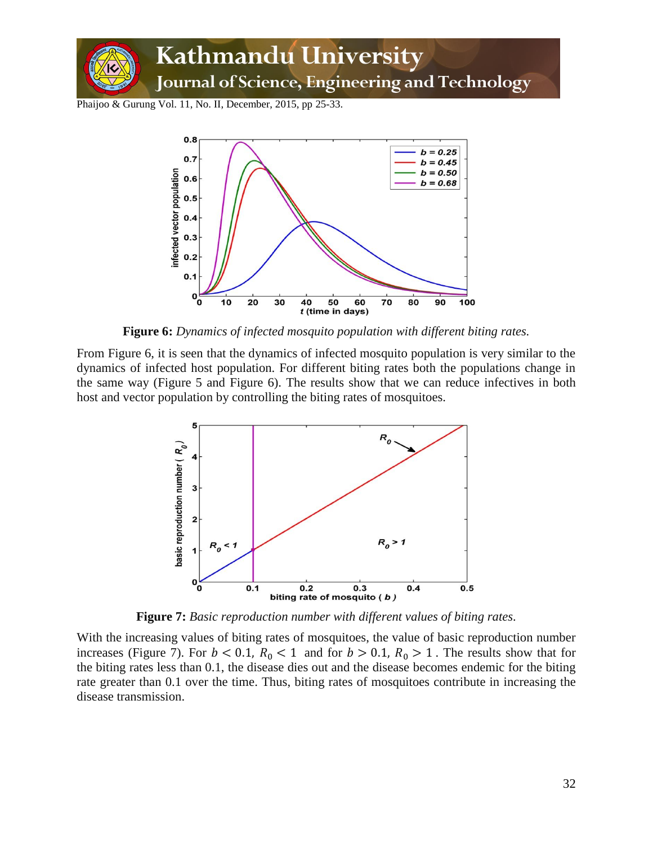



**Figure 6:** *Dynamics of infected mosquito population with different biting rates.*

From Figure 6, it is seen that the dynamics of infected mosquito population is very similar to the dynamics of infected host population. For different biting rates both the populations change in the same way (Figure 5 and Figure 6). The results show that we can reduce infectives in both host and vector population by controlling the biting rates of mosquitoes.



**Figure 7:** *Basic reproduction number with different values of biting rates.*

With the increasing values of biting rates of mosquitoes, the value of basic reproduction number increases (Figure 7). For  $b < 0.1$ ,  $R_0 < 1$  and for  $b > 0.1$ ,  $R_0 > 1$ . The results show that for the biting rates less than 0.1, the disease dies out and the disease becomes endemic for the biting rate greater than 0.1 over the time. Thus, biting rates of mosquitoes contribute in increasing the disease transmission.